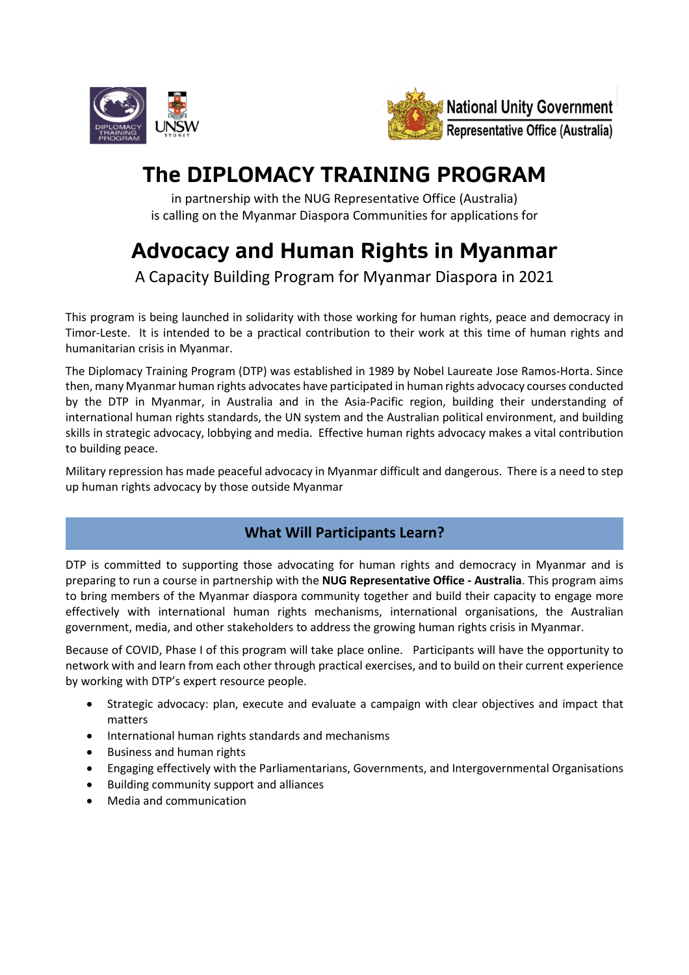



# **The DIPLOMACY TRAINING PROGRAM**

in partnership with the NUG Representative Office (Australia) is calling on the Myanmar Diaspora Communities for applications for

# **Advocacy and Human Rights in Myanmar**

A Capacity Building Program for Myanmar Diaspora in 2021

This program is being launched in solidarity with those working for human rights, peace and democracy in Timor-Leste. It is intended to be a practical contribution to their work at this time of human rights and humanitarian crisis in Myanmar.

The Diplomacy Training Program (DTP) was established in 1989 by Nobel Laureate Jose Ramos-Horta. Since then, many Myanmar human rights advocates have participated in human rights advocacy courses conducted by the DTP in Myanmar, in Australia and in the Asia-Pacific region, building their understanding of international human rights standards, the UN system and the Australian political environment, and building skills in strategic advocacy, lobbying and media. Effective human rights advocacy makes a vital contribution to building peace.

Military repression has made peaceful advocacy in Myanmar difficult and dangerous. There is a need to step up human rights advocacy by those outside Myanmar

## **What Will Participants Learn?**

DTP is committed to supporting those advocating for human rights and democracy in Myanmar and is preparing to run a course in partnership with the **NUG Representative Office - Australia**. This program aims to bring members of the Myanmar diaspora community together and build their capacity to engage more effectively with international human rights mechanisms, international organisations, the Australian government, media, and other stakeholders to address the growing human rights crisis in Myanmar.

Because of COVID, Phase I of this program will take place online. Participants will have the opportunity to network with and learn from each other through practical exercises, and to build on their current experience by working with DTP's expert resource people.

- Strategic advocacy: plan, execute and evaluate a campaign with clear objectives and impact that matters
- International human rights standards and mechanisms
- Business and human rights
- Engaging effectively with the Parliamentarians, Governments, and Intergovernmental Organisations
- Building community support and alliances
- Media and communication